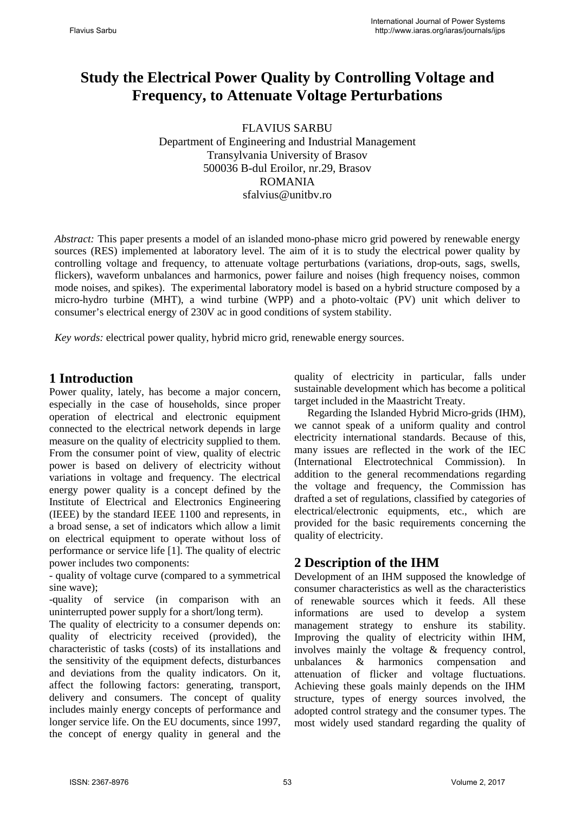# **Study the Electrical Power Quality by Controlling Voltage and Frequency, to Attenuate Voltage Perturbations**

FLAVIUS SARBU Department of Engineering and Industrial Management Transylvania University of Brasov 500036 B-dul Eroilor, nr.29, Brasov ROMANIA sfalvius@unitbv.ro

*Abstract:* This paper presents a model of an islanded mono-phase micro grid powered by renewable energy sources (RES) implemented at laboratory level. The aim of it is to study the electrical power quality by controlling voltage and frequency, to attenuate voltage perturbations (variations, drop-outs, sags, swells, flickers), waveform unbalances and harmonics, power failure and noises (high frequency noises, common mode noises, and spikes). The experimental laboratory model is based on a hybrid structure composed by a micro-hydro turbine (MHT), a wind turbine (WPP) and a photo-voltaic (PV) unit which deliver to consumer's electrical energy of 230V ac in good conditions of system stability.

*Key words:* electrical power quality, hybrid micro grid, renewable energy sources.

### **1 Introduction**

Power quality, lately, has become a major concern, especially in the case of households, since proper operation of electrical and electronic equipment connected to the electrical network depends in large measure on the quality of electricity supplied to them. From the consumer point of view, quality of electric power is based on delivery of electricity without variations in voltage and frequency. The electrical energy power quality is a concept defined by the Institute of Electrical and Electronics Engineering (IEEE) by the standard IEEE 1100 and represents, in a broad sense, a set of indicators which allow a limit on electrical equipment to operate without loss of performance or service life [1]. The quality of electric power includes two components:

- quality of voltage curve (compared to a symmetrical sine wave);

-quality of service (in comparison with an uninterrupted power supply for a short/long term).

The quality of electricity to a consumer depends on: quality of electricity received (provided), the characteristic of tasks (costs) of its installations and the sensitivity of the equipment defects, disturbances and deviations from the quality indicators. On it, affect the following factors: generating, transport, delivery and consumers. The concept of quality includes mainly energy concepts of performance and longer service life. On the EU documents, since 1997, the concept of energy quality in general and the

quality of electricity in particular, falls under sustainable development which has become a political target included in the Maastricht Treaty.

Regarding the Islanded Hybrid Micro-grids (IHM), we cannot speak of a uniform quality and control electricity international standards. Because of this, many issues are reflected in the work of the IEC (International Electrotechnical Commission). In addition to the general recommendations regarding the voltage and frequency, the Commission has drafted a set of regulations, classified by categories of electrical/electronic equipments, etc., which are provided for the basic requirements concerning the quality of electricity.

## **2 Description of the IHM**

Development of an IHM supposed the knowledge of consumer characteristics as well as the characteristics of renewable sources which it feeds. All these informations are used to develop a system management strategy to enshure its stability. Improving the quality of electricity within IHM, involves mainly the voltage & frequency control, unbalances & harmonics compensation and attenuation of flicker and voltage fluctuations. Achieving these goals mainly depends on the IHM structure, types of energy sources involved, the adopted control strategy and the consumer types. The most widely used standard regarding the quality of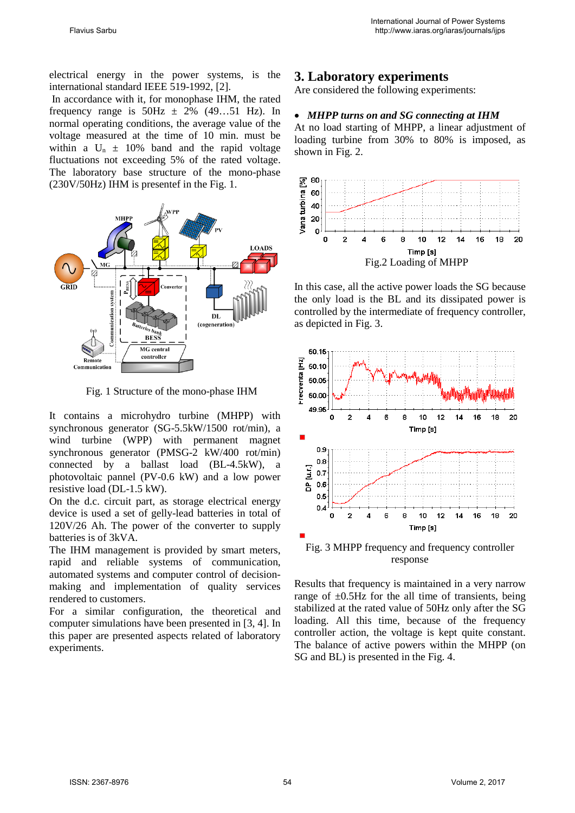electrical energy in the power systems, is the international standard IEEE 519-1992, [2].

In accordance with it, for monophase IHM, the rated frequency range is  $50Hz \pm 2\%$  (49...51 Hz). In normal operating conditions, the average value of the voltage measured at the time of 10 min. must be within a  $U_n \pm 10\%$  band and the rapid voltage fluctuations not exceeding 5% of the rated voltage. The laboratory base structure of the mono-phase (230V/50Hz) IHM is presentef in the Fig. 1.



Fig. 1 Structure of the mono-phase IHM

It contains a microhydro turbine (MHPP) with synchronous generator (SG-5.5kW/1500 rot/min), a wind turbine (WPP) with permanent magnet synchronous generator (PMSG-2 kW/400 rot/min) connected by a ballast load (BL-4.5kW), a photovoltaic pannel (PV-0.6 kW) and a low power resistive load (DL-1.5 kW).

On the d.c. circuit part, as storage electrical energy device is used a set of gelly-lead batteries in total of 120V/26 Ah. The power of the converter to supply batteries is of 3kVA.

The IHM management is provided by smart meters, rapid and reliable systems of communication, automated systems and computer control of decisionmaking and implementation of quality services rendered to customers.

For a similar configuration, the theoretical and computer simulations have been presented in [3, 4]. In this paper are presented aspects related of laboratory experiments.

# **3. Laboratory experiments**

Are considered the following experiments:

#### • *MHPP turns on and SG connecting at IHM*

At no load starting of MHPP, a linear adjustment of loading turbine from 30% to 80% is imposed, as shown in Fig. 2.



In this case, all the active power loads the SG because the only load is the BL and its dissipated power is controlled by the intermediate of frequency controller, as depicted in Fig. 3.



Fig. 3 MHPP frequency and frequency controller response

Results that frequency is maintained in a very narrow range of  $\pm 0.5$ Hz for the all time of transients, being stabilized at the rated value of 50Hz only after the SG loading. All this time, because of the frequency controller action, the voltage is kept quite constant. The balance of active powers within the MHPP (on SG and BL) is presented in the Fig. 4.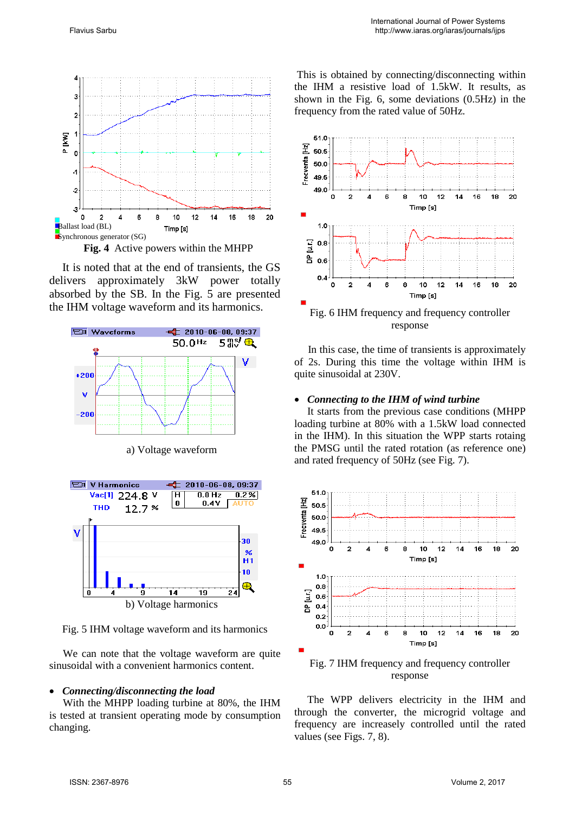

**Fig. 4** Active powers within the MHPP

It is noted that at the end of transients, the GS delivers approximately 3kW power totally absorbed by the SB. In the Fig. 5 are presented the IHM voltage waveform and its harmonics.



a) Voltage waveform



Fig. 5 IHM voltage waveform and its harmonics

We can note that the voltage waveform are quite sinusoidal with a convenient harmonics content.

#### • *Connecting/disconnecting the load*

With the MHPP loading turbine at 80%, the IHM is tested at transient operating mode by consumption changing.

This is obtained by connecting/disconnecting within the IHM a resistive load of 1.5kW. It results, as shown in the Fig. 6, some deviations (0.5Hz) in the frequency from the rated value of 50Hz.



Fig. 6 IHM frequency and frequency controller response

In this case, the time of transients is approximately of 2s. During this time the voltage within IHM is quite sinusoidal at 230V.

#### • *Connecting to the IHM of wind turbine*

It starts from the previous case conditions (MHPP loading turbine at 80% with a 1.5kW load connected in the IHM). In this situation the WPP starts rotaing the PMSG until the rated rotation (as reference one) and rated frequency of 50Hz (see Fig. 7).



response

The WPP delivers electricity in the IHM and through the converter, the microgrid voltage and frequency are increasely controlled until the rated values (see Figs. 7, 8).